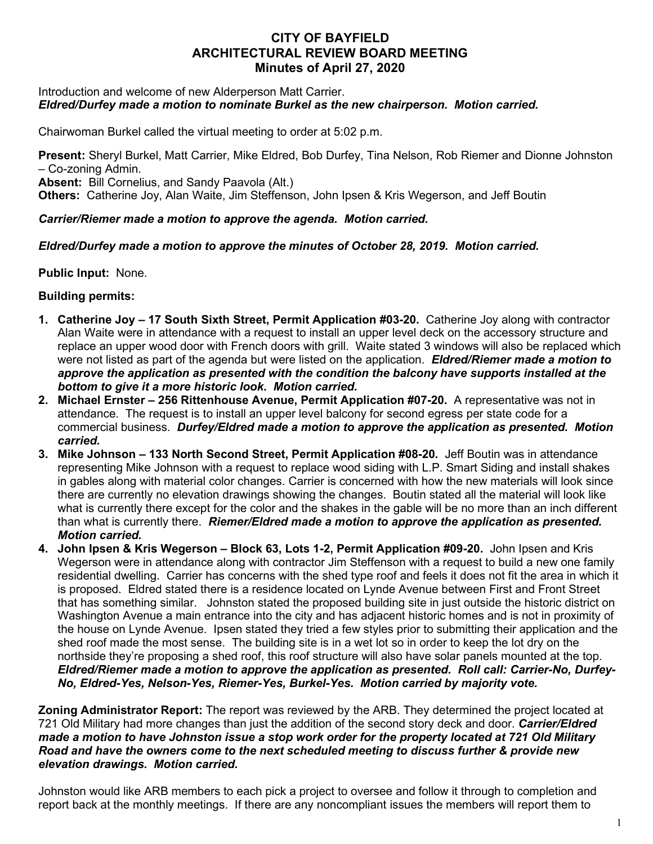# **CITY OF BAYFIELD ARCHITECTURAL REVIEW BOARD MEETING Minutes of April 27, 2020**

#### Introduction and welcome of new Alderperson Matt Carrier. *Eldred/Durfey made a motion to nominate Burkel as the new chairperson. Motion carried.*

Chairwoman Burkel called the virtual meeting to order at 5:02 p.m.

**Present:** Sheryl Burkel, Matt Carrier, Mike Eldred, Bob Durfey, Tina Nelson, Rob Riemer and Dionne Johnston – Co-zoning Admin.

**Absent:** Bill Cornelius, and Sandy Paavola (Alt.)

**Others:** Catherine Joy, Alan Waite, Jim Steffenson, John Ipsen & Kris Wegerson, and Jeff Boutin

### *Carrier/Riemer made a motion to approve the agenda. Motion carried.*

## *Eldred/Durfey made a motion to approve the minutes of October 28, 2019. Motion carried.*

**Public Input:** None.

## **Building permits:**

- **1. Catherine Joy – 17 South Sixth Street, Permit Application #03-20.** Catherine Joy along with contractor Alan Waite were in attendance with a request to install an upper level deck on the accessory structure and replace an upper wood door with French doors with grill. Waite stated 3 windows will also be replaced which were not listed as part of the agenda but were listed on the application. *Eldred/Riemer made a motion to approve the application as presented with the condition the balcony have supports installed at the bottom to give it a more historic look. Motion carried.*
- **2. Michael Ernster – 256 Rittenhouse Avenue, Permit Application #07-20.** A representative was not in attendance. The request is to install an upper level balcony for second egress per state code for a commercial business. *Durfey/Eldred made a motion to approve the application as presented. Motion carried.*
- **3. Mike Johnson – 133 North Second Street, Permit Application #08-20.** Jeff Boutin was in attendance representing Mike Johnson with a request to replace wood siding with L.P. Smart Siding and install shakes in gables along with material color changes. Carrier is concerned with how the new materials will look since there are currently no elevation drawings showing the changes. Boutin stated all the material will look like what is currently there except for the color and the shakes in the gable will be no more than an inch different than what is currently there. *Riemer/Eldred made a motion to approve the application as presented. Motion carried.*
- **4. John Ipsen & Kris Wegerson – Block 63, Lots 1-2, Permit Application #09-20.** John Ipsen and Kris Wegerson were in attendance along with contractor Jim Steffenson with a request to build a new one family residential dwelling. Carrier has concerns with the shed type roof and feels it does not fit the area in which it is proposed. Eldred stated there is a residence located on Lynde Avenue between First and Front Street that has something similar. Johnston stated the proposed building site in just outside the historic district on Washington Avenue a main entrance into the city and has adjacent historic homes and is not in proximity of the house on Lynde Avenue. Ipsen stated they tried a few styles prior to submitting their application and the shed roof made the most sense. The building site is in a wet lot so in order to keep the lot dry on the northside they're proposing a shed roof, this roof structure will also have solar panels mounted at the top. *Eldred/Riemer made a motion to approve the application as presented. Roll call: Carrier-No, Durfey-No, Eldred-Yes, Nelson-Yes, Riemer-Yes, Burkel-Yes. Motion carried by majority vote.*

**Zoning Administrator Report:** The report was reviewed by the ARB. They determined the project located at 721 Old Military had more changes than just the addition of the second story deck and door. *Carrier/Eldred made a motion to have Johnston issue a stop work order for the property located at 721 Old Military Road and have the owners come to the next scheduled meeting to discuss further & provide new elevation drawings. Motion carried.*

Johnston would like ARB members to each pick a project to oversee and follow it through to completion and report back at the monthly meetings. If there are any noncompliant issues the members will report them to